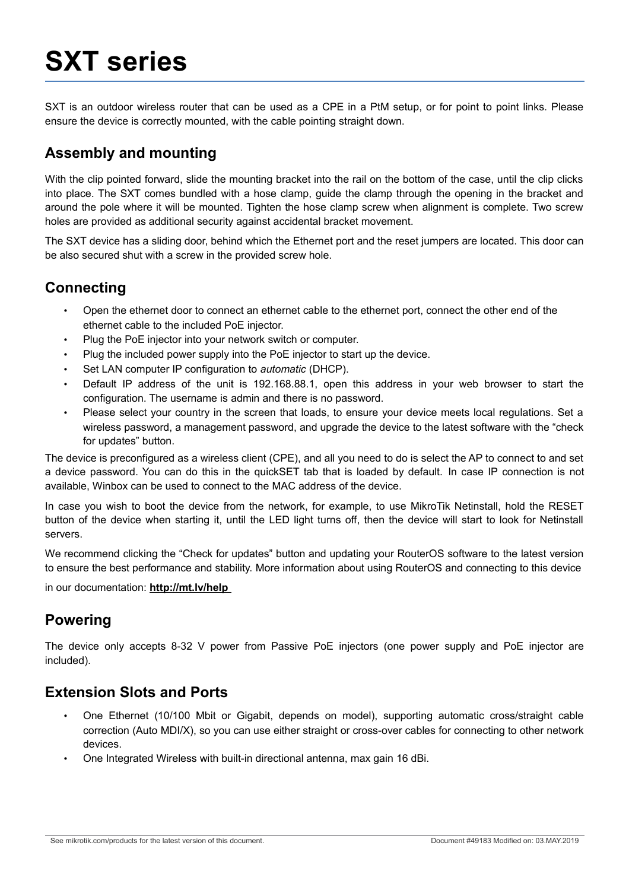# **SXT series**

SXT is an outdoor wireless router that can be used as a CPE in a PtM setup, or for point to point links. Please ensure the device is correctly mounted, with the cable pointing straight down.

## **Assembly and mounting**

With the clip pointed forward, slide the mounting bracket into the rail on the bottom of the case, until the clip clicks into place. The SXT comes bundled with a hose clamp, guide the clamp through the opening in the bracket and around the pole where it will be mounted. Tighten the hose clamp screw when alignment is complete. Two screw holes are provided as additional security against accidental bracket movement.

The SXT device has a sliding door, behind which the Ethernet port and the reset jumpers are located. This door can be also secured shut with a screw in the provided screw hole.

### **Connecting**

- Open the ethernet door to connect an ethernet cable to the ethernet port, connect the other end of the ethernet cable to the included PoE injector.
- Plug the PoE injector into your network switch or computer.
- Plug the included power supply into the PoE injector to start up the device.
- Set LAN computer IP configuration to *automatic* (DHCP).
- Default IP address of the unit is 192.168.88.1, open this address in your web browser to start the configuration. The username is admin and there is no password.
- Please select your country in the screen that loads, to ensure your device meets local regulations. Set a wireless password, a management password, and upgrade the device to the latest software with the "check for updates" button.

The device is preconfigured as a wireless client (CPE), and all you need to do is select the AP to connect to and set a device password. You can do this in the quickSET tab that is loaded by default. In case IP connection is not available, Winbox can be used to connect to the MAC address of the device.

In case you wish to boot the device from the network, for example, to use MikroTik Netinstall, hold the RESET button of the device when starting it, until the LED light turns off, then the device will start to look for Netinstall servers.

We recommend clicking the "Check for updates" button and updating your RouterOS software to the latest version to ensure the best performance and stability. More information about using RouterOS and connecting to this device

in our documentation: **http://mt.lv/help** 

#### **Powering**

The device only accepts 8-32 V power from Passive PoE injectors (one power supply and PoE injector are included).

#### **Extension Slots and Ports**

- One Ethernet (10/100 Mbit or Gigabit, depends on model), supporting automatic cross/straight cable correction (Auto MDI/X), so you can use either straight or cross-over cables for connecting to other network devices.
- One Integrated Wireless with built-in directional antenna, max gain 16 dBi.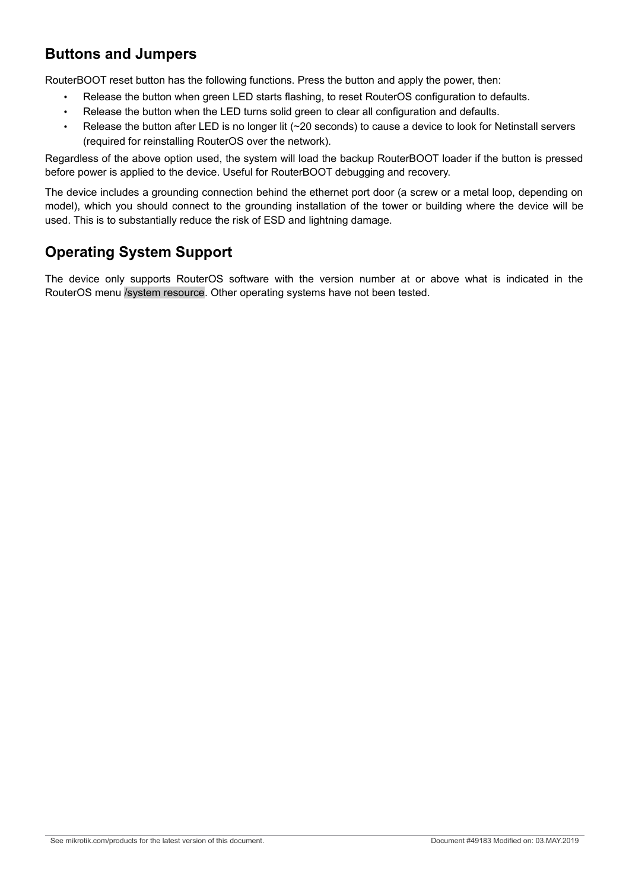## **Buttons and Jumpers**

RouterBOOT reset button has the following functions. Press the button and apply the power, then:

- Release the button when green LED starts flashing, to reset RouterOS configuration to defaults.
- Release the button when the LED turns solid green to clear all configuration and defaults.
- Release the button after LED is no longer lit (~20 seconds) to cause a device to look for Netinstall servers (required for reinstalling RouterOS over the network).

Regardless of the above option used, the system will load the backup RouterBOOT loader if the button is pressed before power is applied to the device. Useful for RouterBOOT debugging and recovery.

The device includes a grounding connection behind the ethernet port door (a screw or a metal loop, depending on model), which you should connect to the grounding installation of the tower or building where the device will be used. This is to substantially reduce the risk of ESD and lightning damage.

# **Operating System Support**

The device only supports RouterOS software with the version number at or above what is indicated in the RouterOS menu /system resource. Other operating systems have not been tested.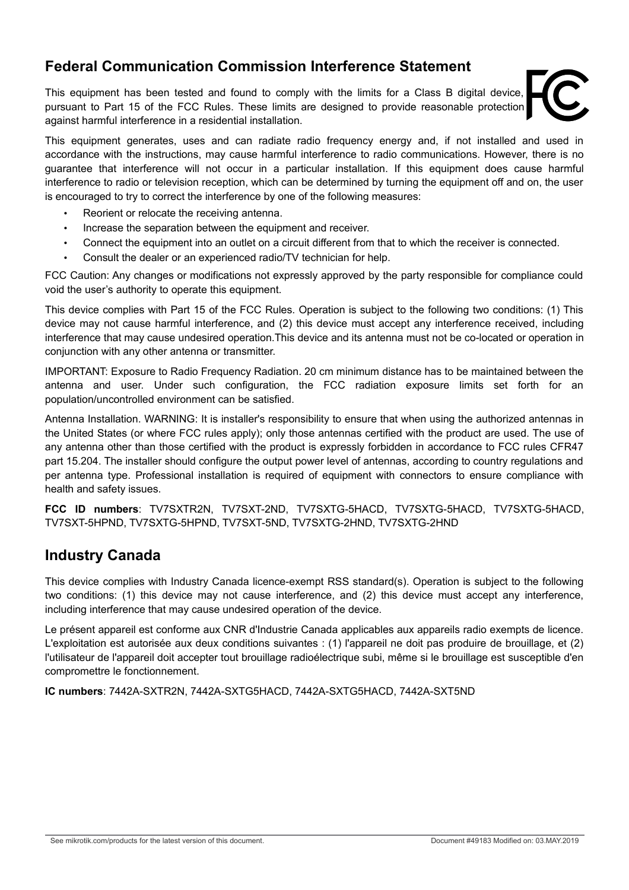### **Federal Communication Commission Interference Statement**

This equipment has been tested and found to comply with the limits for a Class B digital device, pursuant to Part 15 of the FCC Rules. These limits are designed to provide reasonable protection against harmful interference in a residential installation.



This equipment generates, uses and can radiate radio frequency energy and, if not installed and used in accordance with the instructions, may cause harmful interference to radio communications. However, there is no guarantee that interference will not occur in a particular installation. If this equipment does cause harmful interference to radio or television reception, which can be determined by turning the equipment off and on, the user is encouraged to try to correct the interference by one of the following measures:

- Reorient or relocate the receiving antenna.
- Increase the separation between the equipment and receiver.
- Connect the equipment into an outlet on a circuit different from that to which the receiver is connected.
- Consult the dealer or an experienced radio/TV technician for help.

FCC Caution: Any changes or modifications not expressly approved by the party responsible for compliance could void the user's authority to operate this equipment.

This device complies with Part 15 of the FCC Rules. Operation is subject to the following two conditions: (1) This device may not cause harmful interference, and (2) this device must accept any interference received, including interference that may cause undesired operation.This device and its antenna must not be co-located or operation in conjunction with any other antenna or transmitter.

IMPORTANT: Exposure to Radio Frequency Radiation. 20 cm minimum distance has to be maintained between the antenna and user. Under such configuration, the FCC radiation exposure limits set forth for an population/uncontrolled environment can be satisfied.

Antenna Installation. WARNING: It is installer's responsibility to ensure that when using the authorized antennas in the United States (or where FCC rules apply); only those antennas certified with the product are used. The use of any antenna other than those certified with the product is expressly forbidden in accordance to FCC rules CFR47 part 15.204. The installer should configure the output power level of antennas, according to country regulations and per antenna type. Professional installation is required of equipment with connectors to ensure compliance with health and safety issues.

**FCC ID numbers**: TV7SXTR2N, TV7SXT-2ND, TV7SXTG-5HACD, TV7SXTG-5HACD, TV7SXTG-5HACD, TV7SXT-5HPND, TV7SXTG-5HPND, TV7SXT-5ND, TV7SXTG-2HND, TV7SXTG-2HND

## **Industry Canada**

This device complies with Industry Canada licence-exempt RSS standard(s). Operation is subject to the following two conditions: (1) this device may not cause interference, and (2) this device must accept any interference, including interference that may cause undesired operation of the device.

Le présent appareil est conforme aux CNR d'Industrie Canada applicables aux appareils radio exempts de licence. L'exploitation est autorisée aux deux conditions suivantes : (1) l'appareil ne doit pas produire de brouillage, et (2) l'utilisateur de l'appareil doit accepter tout brouillage radioélectrique subi, même si le brouillage est susceptible d'en compromettre le fonctionnement.

**IC numbers**: 7442A-SXTR2N, 7442A-SXTG5HACD, 7442A-SXTG5HACD, 7442A-SXT5ND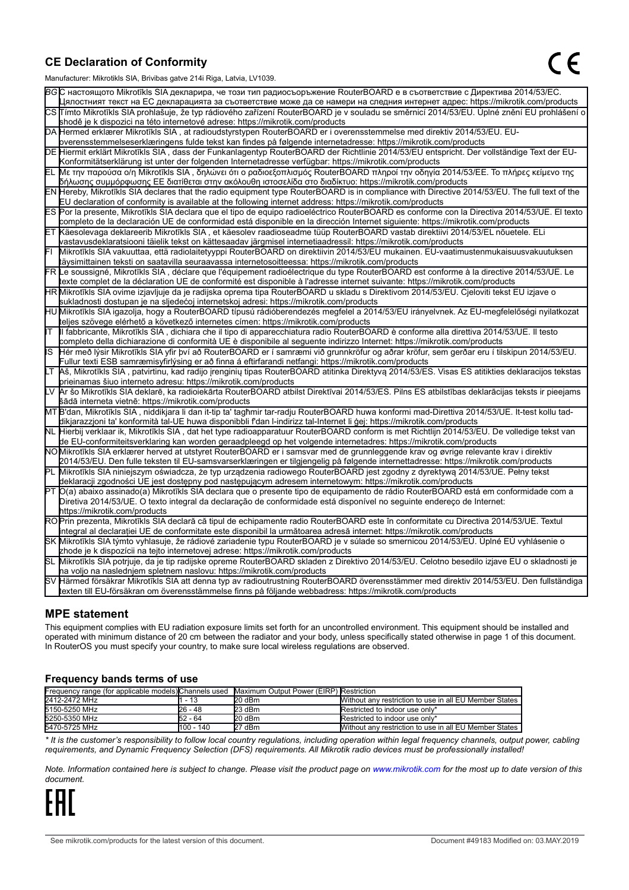#### **CE Declaration of Conformity**

Manufacturer: Mikrotikls SIA, Brivibas gatve 214i Riga, Latvia, LV1039.

|    | $m$ ananao $m$ . Iviini olinis Oli I, Drivibas yatvo $L$ i $\pi$ i Tiiga, Latvia, Lv Toos.                                                                                                                                                       |
|----|--------------------------------------------------------------------------------------------------------------------------------------------------------------------------------------------------------------------------------------------------|
|    | ВСС настоящото Mikrotīkls SIA декларира, че този тип радиосъоръжение RouterBOARD е в съответствие с Директива 2014/53/EC.                                                                                                                        |
|    | Цялостният текст на ЕС декларацията за съответствие може да се намери на следния интернет адрес: https://mikrotik.com/products                                                                                                                   |
|    | CS Tímto Mikrotīkls SIA prohlašuje, že typ rádiového zařízení RouterBOARD je v souladu se směrnicí 2014/53/EU. Úplné znění EU prohlášení o                                                                                                       |
|    | shodě je k dispozici na této internetové adrese: https://mikrotik.com/products                                                                                                                                                                   |
|    | DA Hermed erklærer Mikrotīkls SIA, at radioudstyrstypen RouterBOARD er i overensstemmelse med direktiv 2014/53/EU. EU-                                                                                                                           |
|    | overensstemmelseserklæringens fulde tekst kan findes på følgende internetadresse: https://mikrotik.com/products                                                                                                                                  |
|    | DE Hiermit erklärt Mikrotīkls SIA, dass der Funkanlagentyp RouterBOARD der Richtlinie 2014/53/EU entspricht. Der vollständige Text der EU-                                                                                                       |
|    | Konformitätserklärung ist unter der folgenden Internetadresse verfügbar: https://mikrotik.com/products                                                                                                                                           |
|    | ΕL Με την παρούσα ο/η Mikrotīkls SIA , δηλώνει ότι ο ραδιοεξοπλισμός RouterBOARD πληροί την οδηγία 2014/53/ΕΕ. Το πλήρες κείμενο της<br> δήλωσης συμμόρφωσης ΕΕ διατίθεται στην ακόλουθη ιστοσελίδα στο διαδίκτυο: https://mikrotik.com/products |
|    | EN Hereby, Mikrotīkls SIA declares that the radio equipment type RouterBOARD is in compliance with Directive 2014/53/EU. The full text of the                                                                                                    |
|    | EU declaration of conformity is available at the following internet address: https://mikrotik.com/products                                                                                                                                       |
|    | ES Por la presente, Mikrotīkls SIA declara que el tipo de equipo radioeléctrico RouterBOARD es conforme con la Directiva 2014/53/UE. El texto                                                                                                    |
|    | completo de la declaración UE de conformidad está disponible en la dirección Internet siguiente: https://mikrotik.com/products                                                                                                                   |
|    | ET Käesolevaga deklareerib Mikrotīkls SIA, et käesolev raadioseadme tüüp RouterBOARD vastab direktiivi 2014/53/EL nõuetele. ELi                                                                                                                  |
|    | vastavusdeklaratsiooni täielik tekst on kättesaadav järgmisel internetiaadressil: https://mikrotik.com/products                                                                                                                                  |
|    | Mikrotīkls SIA vakuuttaa, että radiolaitetyyppi RouterBOARD on direktiivin 2014/53/EU mukainen. EU-vaatimustenmukaisuusvakuutuksen                                                                                                               |
|    | täysimittainen teksti on saatavilla seuraavassa internetosoitteessa: https://mikrotik.com/products                                                                                                                                               |
|    | FR Le soussigné, Mikrotīkls SIA, déclare que l'équipement radioélectrique du type RouterBOARD est conforme à la directive 2014/53/UE. Le                                                                                                         |
|    | texte complet de la déclaration UE de conformité est disponible à l'adresse internet suivante: https://mikrotik.com/products                                                                                                                     |
|    | HR Mikrotīkls SIA ovime izjavljuje da je radijska oprema tipa RouterBOARD u skladu s Direktivom 2014/53/EU. Cjeloviti tekst EU izjave o                                                                                                          |
|    | sukladnosti dostupan je na sljedećoj internetskoj adresi: https://mikrotik.com/products                                                                                                                                                          |
|    | HU Mikrotīkls SIA igazolja, hogy a RouterBOARD típusú rádióberendezés megfelel a 2014/53/EU irányelvnek. Az EU-megfelelőségi nyilatkozat                                                                                                         |
|    | teljes szövege elérhető a következő internetes címen: https://mikrotik.com/products                                                                                                                                                              |
| lΤ | Il fabbricante, Mikrotīkls SIA, dichiara che il tipo di apparecchiatura radio RouterBOARD è conforme alla direttiva 2014/53/UE. Il testo                                                                                                         |
|    | completo della dichiarazione di conformità UE è disponibile al seguente indirizzo Internet: https://mikrotik.com/products                                                                                                                        |
| IS | Hér með lýsir Mikrotīkls SIA yfir því að RouterBOARD er í samræmi við grunnkröfur og aðrar kröfur, sem gerðar eru í tilskipun 2014/53/EU.                                                                                                        |
|    | Fullur texti ESB samræmisyfirlýsing er að finna á eftirfarandi netfangi: https://mikrotik.com/products                                                                                                                                           |
|    | LT Aš, Mikrotīkls SIA, patvirtinu, kad radijo įrenginių tipas RouterBOARD atitinka Direktyvą 2014/53/ES. Visas ES atitikties deklaracijos tekstas<br>prieinamas šiuo interneto adresu: https://mikrotik.com/products                             |
|    | Ar šo Mikrotīkls SIA deklarē, ka radioiekārta RouterBOARD atbilst Direktīvai 2014/53/ES. Pilns ES atbilstības deklarācijas teksts ir pieejams                                                                                                    |
|    | šādā interneta vietnē: https://mikrotik.com/products                                                                                                                                                                                             |
|    | MT B'dan, Mikrotīkls SIA, niddikjara li dan it-tip ta' tagħmir tar-radju RouterBOARD huwa konformi mad-Direttiva 2014/53/UE. It-test kollu tad-                                                                                                  |
|    | dikjarazzjoni ta' konformità tal-UE huwa disponibbli f'dan l-indirizz tal-Internet li ġej: https://mikrotik.com/products                                                                                                                         |
|    | NL Hierbij verklaar ik, Mikrotīkls SIA , dat het type radioapparatuur RouterBOARD conform is met Richtlijn 2014/53/EU. De volledige tekst van                                                                                                    |
|    | de EU-conformiteitsverklaring kan worden geraadpleegd op het volgende internetadres: https://mikrotik.com/products                                                                                                                               |
|    | NOMikrotīkls SIA erklærer herved at utstyret RouterBOARD er i samsvar med de grunnleggende krav og øvrige relevante krav i direktiv                                                                                                              |
|    | 2014/53/EU. Den fulle teksten til EU-samsvarserklæringen er tilgjengelig på følgende internettadresse: https://mikrotik.com/products                                                                                                             |
|    | PL Mikrotīkls SIA niniejszym oświadcza, że typ urządzenia radiowego RouterBOARD jest zgodny z dyrektywą 2014/53/UE. Pełny tekst                                                                                                                  |
|    | deklaracji zgodności UE jest dostępny pod następującym adresem internetowym: https://mikrotik.com/products                                                                                                                                       |
|    | PT O(a) abaixo assinado(a) Mikrotīkls SIA declara que o presente tipo de equipamento de rádio RouterBOARD está em conformidade com a                                                                                                             |
|    | Diretiva 2014/53/UE. O texto integral da declaração de conformidade está disponível no seguinte endereço de Internet:                                                                                                                            |
|    | https://mikrotik.com/products                                                                                                                                                                                                                    |
|    | ROPrin prezenta, Mikrotīkls SIA declară că tipul de echipamente radio RouterBOARD este în conformitate cu Directiva 2014/53/UE. Textul                                                                                                           |
|    | integral al declarației UE de conformitate este disponibil la următoarea adresă internet: https://mikrotik.com/products                                                                                                                          |
|    | SK Mikrotīkls SIA týmto vyhlasuje, že rádiové zariadenie typu RouterBOARD je v súlade so smernicou 2014/53/EÚ. Úplné EÚ vyhlásenie o                                                                                                             |
|    | zhode je k dispozícii na tejto internetovej adrese: https://mikrotik.com/products                                                                                                                                                                |
|    | SL Mikrotīkls SIA potrjuje, da je tip radijske opreme RouterBOARD skladen z Direktivo 2014/53/EU. Celotno besedilo izjave EU o skladnosti je                                                                                                     |
|    | na voljo na naslednjem spletnem naslovu: https://mikrotik.com/products                                                                                                                                                                           |
|    | SV Härmed försäkrar Mikrotīkls SIA att denna typ av radioutrustning RouterBOARD överensstämmer med direktiv 2014/53/EU. Den fullständiga                                                                                                         |
|    | texten till EU-försäkran om överensstämmelse finns på följande webbadress: https://mikrotik.com/products                                                                                                                                         |

#### **MPE statement**

This equipment complies with EU radiation exposure limits set forth for an uncontrolled environment. This equipment should be installed and operated with minimum distance of 20 cm between the radiator and your body, unless specifically stated otherwise in page 1 of this document. In RouterOS you must specify your country, to make sure local wireless regulations are observed.

#### **Frequency bands terms of use**

| <b>Frequency range (for applicable models)</b> Channels used Maximum Output Power (EIRP) Restriction |           |        |                                                        |  |  |
|------------------------------------------------------------------------------------------------------|-----------|--------|--------------------------------------------------------|--|--|
| 2412-2472 MHz                                                                                        | - 13      | 20 dBm | Without any restriction to use in all EU Member States |  |  |
| 5150-5250 MHz                                                                                        | 26 - 48   | 23 dBm | Restricted to indoor use only*                         |  |  |
| 5250-5350 MHz                                                                                        | 52 - 64   | 20 dBm | Restricted to indoor use only*                         |  |  |
| 5470-5725 MHz                                                                                        | 100 - 140 | 27 dBm | Without any restriction to use in all EU Member States |  |  |

*\* It is the customer's responsibility to follow local country regulations, including operation within legal frequency channels, output power, cabling requirements, and Dynamic Frequency Selection (DFS) requirements. All Mikrotik radio devices must be professionally installed!*

*Note. Information contained here is subject to change. Please visit the product page on [www.mikrotik.com](http://www.mikrotik.com/) for the most up to date version of this document.*